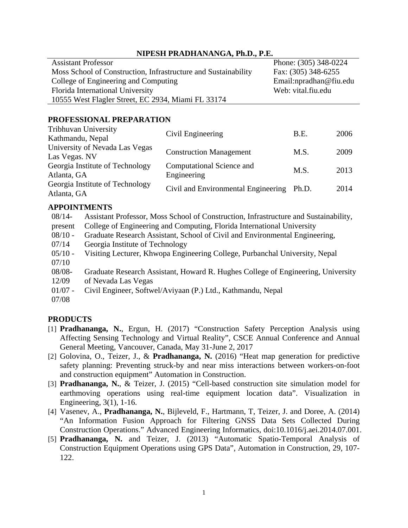#### **NIPESH PRADHANANGA, Ph.D., P.E.**

| <b>Assistant Professor</b>                                     |                                | Phone: (305) 348-0224  |      |
|----------------------------------------------------------------|--------------------------------|------------------------|------|
| Moss School of Construction, Infrastructure and Sustainability |                                | Fax: (305) 348-6255    |      |
| College of Engineering and Computing                           |                                | Email:npradhan@fiu.edu |      |
| Florida International University                               |                                | Web: vital.fiu.edu     |      |
| 10555 West Flagler Street, EC 2934, Miami FL 33174             |                                |                        |      |
| PROFESSIONAL PREPARATION                                       |                                |                        |      |
| Tribhuvan University                                           | Civil Engineering              | <b>B.E.</b>            | 2006 |
| Kathmandu, Nepal                                               |                                |                        |      |
| University of Nevada Las Vegas                                 | <b>Construction Management</b> | M.S.                   | 2009 |
| Las Vegas. NV                                                  |                                |                        |      |
| Georgia Institute of Technology                                | Computational Science and      | M C                    | 2012 |

Atlanta, GA Engineering M.S. 2013 Georgia Institute of Technology Atlanta, GA Civil and Environmental Engineering Ph.D. 2014

## **APPOINTMENTS**

08/14 present Assistant Professor, Moss School of Construction, Infrastructure and Sustainability, College of Engineering and Computing, Florida International University  $08/10 -$ 07/14 Graduate Research Assistant, School of Civil and Environmental Engineering, Georgia Institute of Technology  $05/10 -$ 07/10 Visiting Lecturer, Khwopa Engineering College, Purbanchal University, Nepal 08/08- 12/09 Graduate Research Assistant, Howard R. Hughes College of Engineering, University of Nevada Las Vegas  $01/07 -$ 07/08 Civil Engineer, Softwel/Aviyaan (P.) Ltd., Kathmandu, Nepal

### **PRODUCTS**

- [1] **Pradhananga, N.**, Ergun, H. (2017) "Construction Safety Perception Analysis using Affecting Sensing Technology and Virtual Reality", CSCE Annual Conference and Annual General Meeting, Vancouver, Canada, May 31-June 2, 2017
- [2] Golovina, O., Teizer, J., & **Pradhananga, N.** (2016) "Heat map generation for predictive safety planning: Preventing struck-by and near miss interactions between workers-on-foot and construction equipment" Automation in Construction.
- [3] **Pradhananga, N.**, & Teizer, J. (2015) "Cell-based construction site simulation model for earthmoving operations using real-time equipment location data". Visualization in Engineering, 3(1), 1-16.
- [4] Vasenev, A., **Pradhananga, N.**, Bijleveld, F., Hartmann, T, Teizer, J. and Doree, A. (2014) "An Information Fusion Approach for Filtering GNSS Data Sets Collected During Construction Operations." Advanced Engineering Informatics, doi:10.1016/j.aei.2014.07.001.
- [5] **Pradhananga, N.** and Teizer, J. (2013) "Automatic Spatio-Temporal Analysis of Construction Equipment Operations using GPS Data", Automation in Construction, 29, 107- 122.